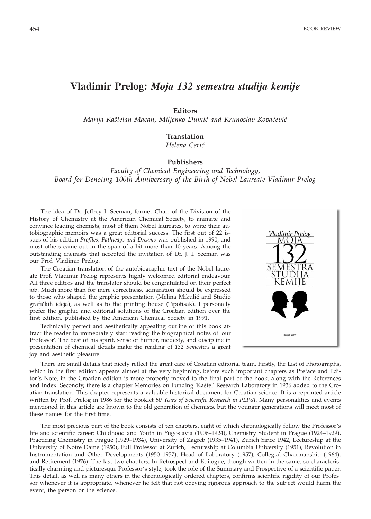## **Vladimir Prelog:** *Moja 132 semestra studija kemije*

**Editors**

*Marija Kaštelan-Macan, Miljenko Dumić and Krunoslav Kovačević* 

## **Translation**

*Helena Ceri}*

## **Publishers**

## *Faculty of Chemical Engineering and Technology, Board for Denoting 100th Anniversary of the Birth of Nobel Laureate Vladimir Prelog*

The idea of Dr. Jeffrey I. Seeman, former Chair of the Division of the History of Chemistry at the American Chemical Society, to animate and convince leading chemists, most of them Nobel laureates, to write their autobiographic memoirs was a great editorial success. The first out of 22 issues of his edition *Profiles, Pathways and Dreams* was published in 1990, and most others came out in the span of a bit more than 10 years. Among the outstanding chemists that accepted the invitation of Dr. J. I. Seeman was our Prof. Vladimir Prelog.

The Croatian translation of the autobiographic text of the Nobel laureate Prof. Vladimir Prelog represents highly welcomed editorial endeavour. All three editors and the translator should be congratulated on their perfect job. Much more than for mere correctness, admiration should be expressed to those who shaped the graphic presentation (Melina Mikulić and Studio grafičkih ideja), as well as to the printing house (Tipotisak). I personally prefer the graphic and editorial solutions of the Croatian edition over the first edition, published by the American Chemical Society in 1991.

Technically perfect and aesthetically appealing outline of this book attract the reader to immediately start reading the biographical notes of 'our Professor'. The best of his spirit, sense of humor, modesty, and discipline in presentation of chemical details make the reading of *132 Semesters* a great joy and aesthetic pleasure.



There are small details that nicely reflect the great care of Croatian editorial team. Firstly, the List of Photographs, which in the first edition appears almost at the very beginning, before such important chapters as Preface and Editor's Note, in the Croatian edition is more properly moved to the final part of the book, along with the References and Index. Secondly, there is a chapter Memories on Funding 'Kaštel' Research Laboratory in 1936 added to the Croatian translation. This chapter represents a valuable historical document for Croatian science. It is a reprinted article written by Prof. Prelog in 1986 for the booklet *50 Years of Scientific Research in PLIVA*. Many personalities and events mentioned in this article are known to the old generation of chemists, but the younger generations will meet most of these names for the first time.

The most precious part of the book consists of ten chapters, eight of which chronologically follow the Professor's life and scientific career: Childhood and Youth in Yugoslavia (1906–1924), Chemistry Student in Prague (1924–1929), Practicing Chemistry in Prague (1929–1934), University of Zagreb (1935–1941), Zurich Since 1942, Lectureship at the University of Notre Dame (1950), Full Professor at Zurich, Lectureship at Columbia University (1951), Revolution in Instrumentation and Other Developments (1950–1957), Head of Laboratory (1957), Collegial Chairmanship (1964), and Retirement (1976). The last two chapters, In Retrospect and Epilogue, though written in the same, so characteristically charming and picturesque Professor's style, took the role of the Summary and Prospective of a scientific paper. This detail, as well as many others in the chronologically ordered chapters, confirms scientific rigidity of our Professor whenever it is appropriate, whenever he felt that not obeying rigorous approach to the subject would harm the event, the person or the science.